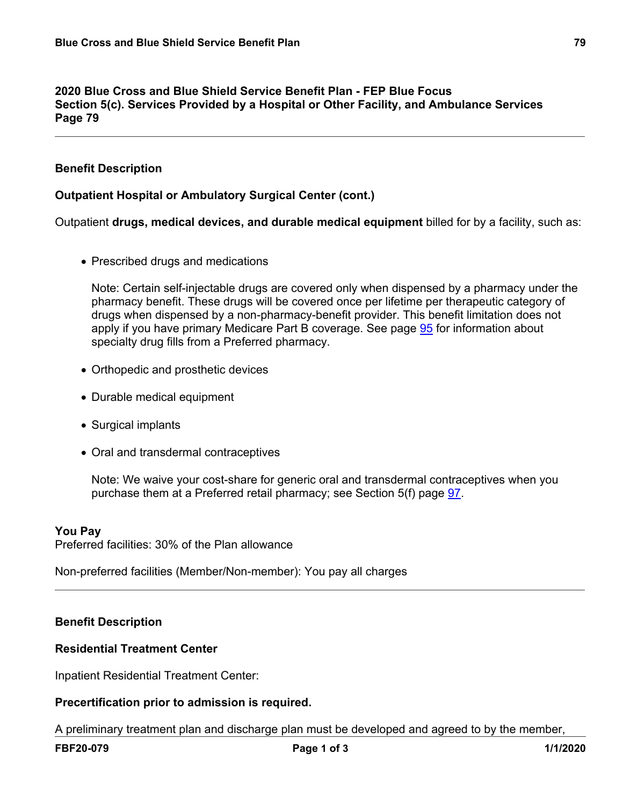#### **2020 Blue Cross and Blue Shield Service Benefit Plan - FEP Blue Focus Section 5(c). Services Provided by a Hospital or Other Facility, and Ambulance Services Page 79**

# **Benefit Description**

## **Outpatient Hospital or Ambulatory Surgical Center (cont.)**

Outpatient **drugs, medical devices, and durable medical equipment** billed for by a facility, such as:

• Prescribed drugs and medications

Note: Certain self-injectable drugs are covered only when dispensed by a pharmacy under the pharmacy benefit. These drugs will be covered once per lifetime per therapeutic category of drugs when dispensed by a non-pharmacy-benefit provider. This benefit limitation does not apply if you have primary Medicare Part B coverage. See page [95](a8376318-ebd6-421f-be63-acf8c88376a1_da51508d-799d-4d00-937a-7b1337ffb505.html?v=32493) for information about specialty drug fills from a Preferred pharmacy.

- Orthopedic and prosthetic devices
- Durable medical equipment
- Surgical implants
- Oral and transdermal contraceptives

Note: We waive your cost-share for generic oral and transdermal contraceptives when you purchase them at a Preferred retail pharmacy; see Section 5(f) page [97](a8376318-ebd6-421f-be63-acf8c88376a1_05ea609e-4cb9-44d5-bea2-96ff77fe4bca.html?v=32493).

#### **You Pay**

Preferred facilities: 30% of the Plan allowance

Non-preferred facilities (Member/Non-member): You pay all charges

#### **Benefit Description**

### **Residential Treatment Center**

Inpatient Residential Treatment Center:

#### **Precertification prior to admission is required.**

A preliminary treatment plan and discharge plan must be developed and agreed to by the member,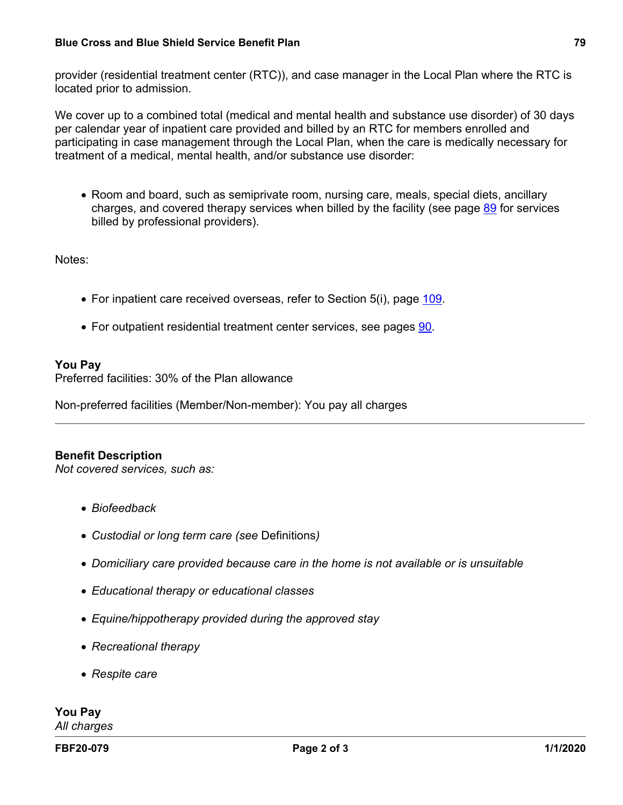provider (residential treatment center (RTC)), and case manager in the Local Plan where the RTC is located prior to admission.

We cover up to a combined total (medical and mental health and substance use disorder) of 30 days per calendar year of inpatient care provided and billed by an RTC for members enrolled and participating in case management through the Local Plan, when the care is medically necessary for treatment of a medical, mental health, and/or substance use disorder:

• Room and board, such as semiprivate room, nursing care, meals, special diets, ancillary charges, and covered therapy services when billed by the facility (see page [89](a8376318-ebd6-421f-be63-acf8c88376a1_90c711c3-38f4-4bd1-9eca-6e2a32b0e02f.html?v=32493) for services billed by professional providers).

Notes:

- For inpatient care received overseas, refer to Section 5(i), page [109.](a8376318-ebd6-421f-be63-acf8c88376a1_7d7e931e-f9ee-4828-ae27-f133e34430be.html?v=32493)
- For outpatient residential treatment center services, see pages [90](a8376318-ebd6-421f-be63-acf8c88376a1_0a3a6040-0732-4d4d-92f7-1e0bb7eaa028.html?v=32493).

#### **You Pay**

Preferred facilities: 30% of the Plan allowance

Non-preferred facilities (Member/Non-member): You pay all charges

#### **Benefit Description**

*Not covered services, such as:*

- *Biofeedback*
- *Custodial or long term care (see* Definitions*)*
- *Domiciliary care provided because care in the home is not available or is unsuitable*
- *Educational therapy or educational classes*
- *Equine/hippotherapy provided during the approved stay*
- *Recreational therapy*
- *Respite care*

**You Pay** *All charges*